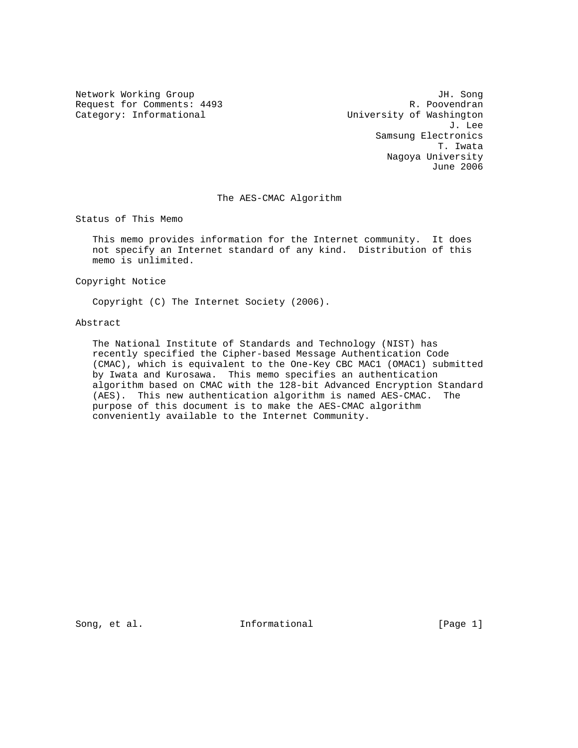Request for Comments: 4493<br>Category: Informational

Network Working Group and Server School and The Song JH. Song<br>Request for Comments: 4493 and JH. Poovendran University of Washington<br>J. Lee J. Lee Samsung Electronics T. Iwata Nagoya University June 2006

### The AES-CMAC Algorithm

Status of This Memo

 This memo provides information for the Internet community. It does not specify an Internet standard of any kind. Distribution of this memo is unlimited.

Copyright Notice

Copyright (C) The Internet Society (2006).

### Abstract

 The National Institute of Standards and Technology (NIST) has recently specified the Cipher-based Message Authentication Code (CMAC), which is equivalent to the One-Key CBC MAC1 (OMAC1) submitted by Iwata and Kurosawa. This memo specifies an authentication algorithm based on CMAC with the 128-bit Advanced Encryption Standard (AES). This new authentication algorithm is named AES-CMAC. The purpose of this document is to make the AES-CMAC algorithm conveniently available to the Internet Community.

Song, et al. **Informational** [Page 1]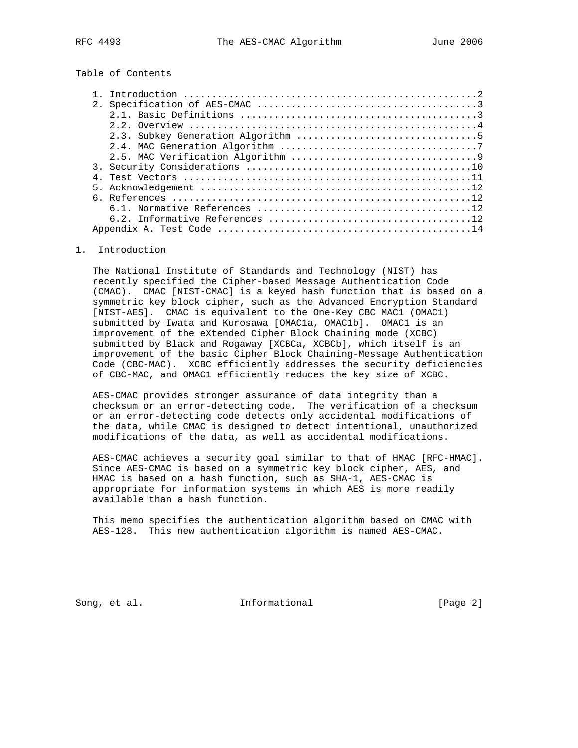# Table of Contents

### 1. Introduction

 The National Institute of Standards and Technology (NIST) has recently specified the Cipher-based Message Authentication Code (CMAC). CMAC [NIST-CMAC] is a keyed hash function that is based on a symmetric key block cipher, such as the Advanced Encryption Standard [NIST-AES]. CMAC is equivalent to the One-Key CBC MAC1 (OMAC1) submitted by Iwata and Kurosawa [OMAC1a, OMAC1b]. OMAC1 is an improvement of the eXtended Cipher Block Chaining mode (XCBC) submitted by Black and Rogaway [XCBCa, XCBCb], which itself is an improvement of the basic Cipher Block Chaining-Message Authentication Code (CBC-MAC). XCBC efficiently addresses the security deficiencies of CBC-MAC, and OMAC1 efficiently reduces the key size of XCBC.

 AES-CMAC provides stronger assurance of data integrity than a checksum or an error-detecting code. The verification of a checksum or an error-detecting code detects only accidental modifications of the data, while CMAC is designed to detect intentional, unauthorized modifications of the data, as well as accidental modifications.

 AES-CMAC achieves a security goal similar to that of HMAC [RFC-HMAC]. Since AES-CMAC is based on a symmetric key block cipher, AES, and HMAC is based on a hash function, such as SHA-1, AES-CMAC is appropriate for information systems in which AES is more readily available than a hash function.

 This memo specifies the authentication algorithm based on CMAC with AES-128. This new authentication algorithm is named AES-CMAC.

Song, et al. 10. Informational 1. [Page 2]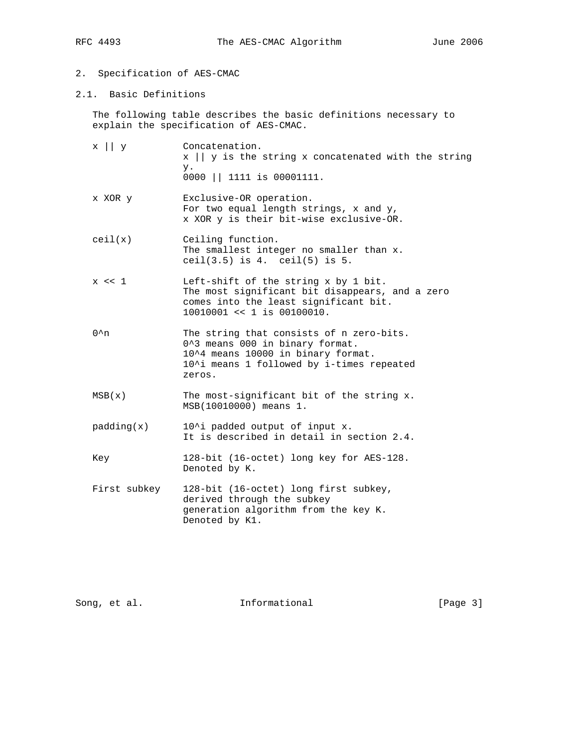# 2. Specification of AES-CMAC

2.1. Basic Definitions

 The following table describes the basic definitions necessary to explain the specification of AES-CMAC.

x || y Concatenation. x || y is the string x concatenated with the string y. 0000 || 1111 is 00001111. x XOR y Exclusive-OR operation. For two equal length strings, x and y, x XOR y is their bit-wise exclusive-OR. ceil(x) Ceiling function. The smallest integer no smaller than x. ceil(3.5) is 4. ceil(5) is 5. x << 1 Left-shift of the string x by 1 bit. The most significant bit disappears, and a zero comes into the least significant bit. 10010001 << 1 is 00100010. 0^n The string that consists of n zero-bits. 0^3 means 000 in binary format. 10^4 means 10000 in binary format. 10^i means 1 followed by i-times repeated zeros.  $MSB(x)$  The most-significant bit of the string x. MSB(10010000) means 1.  $padding(x)$  10^i padded output of input x. It is described in detail in section 2.4. Key 128-bit (16-octet) long key for AES-128. Denoted by K. First subkey 128-bit (16-octet) long first subkey, derived through the subkey generation algorithm from the key K. Denoted by K1.

Song, et al. **Informational** [Page 3]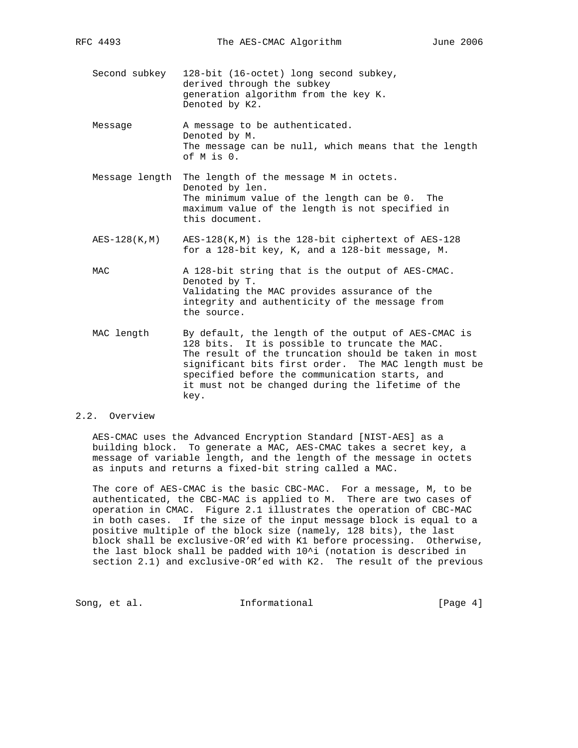- Second subkey 128-bit (16-octet) long second subkey, derived through the subkey generation algorithm from the key K. Denoted by K2.
- Message A message to be authenticated. Denoted by M. The message can be null, which means that the length of M is 0.
- Message length The length of the message M in octets. Denoted by len. The minimum value of the length can be 0. The maximum value of the length is not specified in this document.
- AES-128(K,M) AES-128(K,M) is the 128-bit ciphertext of AES-128 for a 128-bit key, K, and a 128-bit message, M.

MAC A 128-bit string that is the output of AES-CMAC. Denoted by T. Validating the MAC provides assurance of the integrity and authenticity of the message from the source.

 MAC length By default, the length of the output of AES-CMAC is 128 bits. It is possible to truncate the MAC. The result of the truncation should be taken in most significant bits first order. The MAC length must be specified before the communication starts, and it must not be changed during the lifetime of the key.

### 2.2. Overview

 AES-CMAC uses the Advanced Encryption Standard [NIST-AES] as a building block. To generate a MAC, AES-CMAC takes a secret key, a message of variable length, and the length of the message in octets as inputs and returns a fixed-bit string called a MAC.

 The core of AES-CMAC is the basic CBC-MAC. For a message, M, to be authenticated, the CBC-MAC is applied to M. There are two cases of operation in CMAC. Figure 2.1 illustrates the operation of CBC-MAC in both cases. If the size of the input message block is equal to a positive multiple of the block size (namely, 128 bits), the last block shall be exclusive-OR'ed with K1 before processing. Otherwise, the last block shall be padded with 10^i (notation is described in section 2.1) and exclusive-OR'ed with K2. The result of the previous

Song, et al. 10. Informational 1. [Page 4]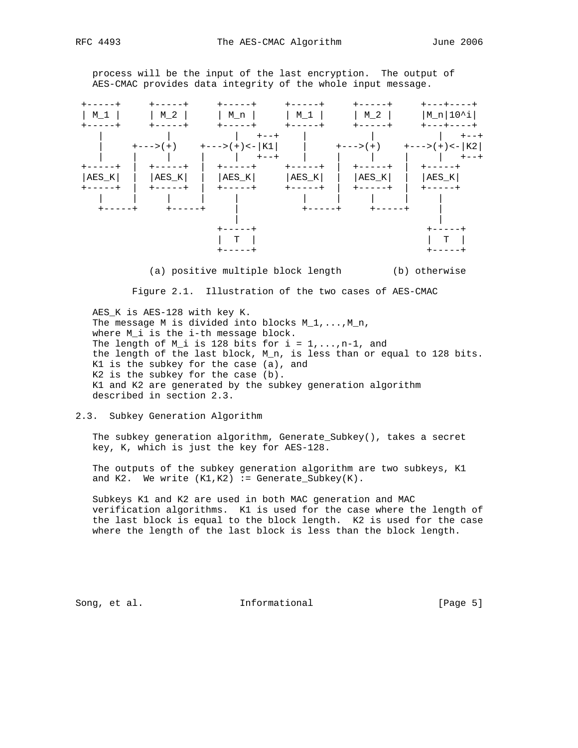process will be the input of the last encryption. The output of AES-CMAC provides data integrity of the whole input message.



(a) positive multiple block length (b) otherwise

Figure 2.1. Illustration of the two cases of AES-CMAC

 AES\_K is AES-128 with key K. The message M is divided into blocks M\_1,..., M\_n, where M\_i is the i-th message block. The length of M\_i is 128 bits for  $i = 1, \ldots, n-1$ , and the length of the last block, M\_n, is less than or equal to 128 bits. K1 is the subkey for the case (a), and K2 is the subkey for the case (b). K1 and K2 are generated by the subkey generation algorithm described in section 2.3.

#### 2.3. Subkey Generation Algorithm

 The subkey generation algorithm, Generate\_Subkey(), takes a secret key, K, which is just the key for AES-128.

 The outputs of the subkey generation algorithm are two subkeys, K1 and K2. We write  $(K1, K2)$  := Generate\_Subkey $(K)$ .

 Subkeys K1 and K2 are used in both MAC generation and MAC verification algorithms. K1 is used for the case where the length of the last block is equal to the block length. K2 is used for the case where the length of the last block is less than the block length.

Song, et al. The Informational The Informational [Page 5]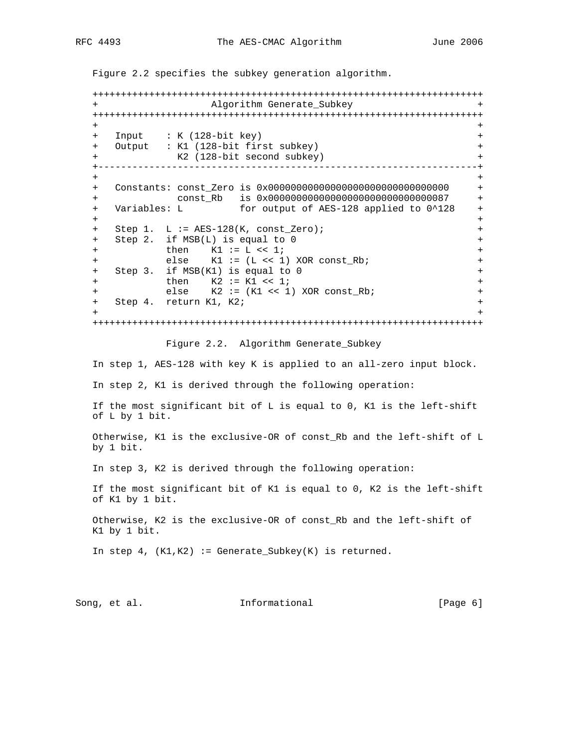Figure 2.2 specifies the subkey generation algorithm.

 +++++++++++++++++++++++++++++++++++++++++++++++++++++++++++++++++++++ + Algorithm Generate\_Subkey + +++++++++++++++++++++++++++++++++++++++++++++++++++++++++++++++++++++ + + + Input : K (128-bit key) + + Output : K1 (128-bit first subkey) + + K2 (128-bit second subkey) + +-------------------------------------------------------------------+ + + + Constants: const\_Zero is 0x00000000000000000000000000000000 + + const\_Rb is 0x00000000000000000000000000000087 + + Variables: L for output of AES-128 applied to 0^128 + + + + Step 1. L := AES-128(K, const\_Zero); + + Step 2. if MSB(L) is equal to 0 + + then K1 := L << 1; + + else K1 := (L << 1) XOR const\_Rb; + + Step 3. if MSB(K1) is equal to 0 + + then K2 := K1 << 1; + + else K2 := (K1 << 1) XOR const\_Rb; + + Step 4. return K1, K2; + + + +++++++++++++++++++++++++++++++++++++++++++++++++++++++++++++++++++++ Figure 2.2. Algorithm Generate\_Subkey In step 1, AES-128 with key K is applied to an all-zero input block. In step 2, K1 is derived through the following operation: If the most significant bit of L is equal to 0, K1 is the left-shift of L by 1 bit. Otherwise, K1 is the exclusive-OR of const\_Rb and the left-shift of L by 1 bit. In step 3, K2 is derived through the following operation: If the most significant bit of K1 is equal to 0, K2 is the left-shift of K1 by 1 bit. Otherwise, K2 is the exclusive-OR of const\_Rb and the left-shift of K1 by 1 bit. In step 4,  $(K1, K2)$  := Generate\_Subkey(K) is returned.

Song, et al. The Informational The Informational [Page 6]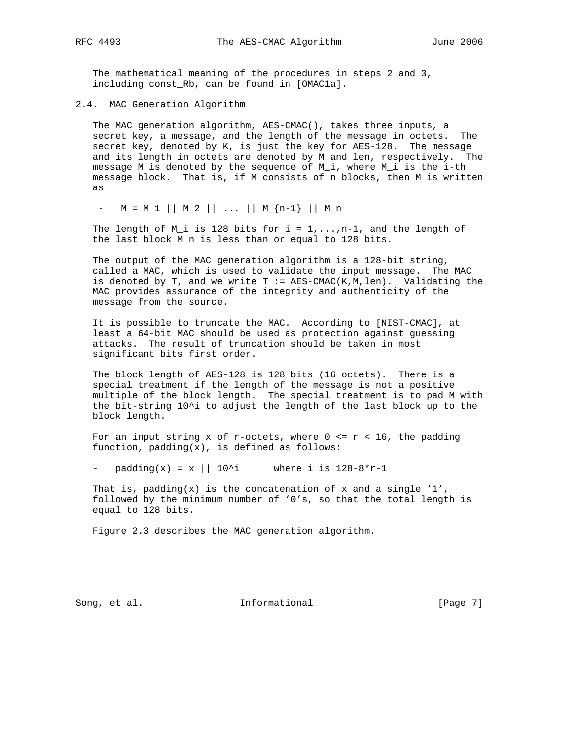The mathematical meaning of the procedures in steps 2 and 3, including const\_Rb, can be found in [OMAC1a].

2.4. MAC Generation Algorithm

 The MAC generation algorithm, AES-CMAC(), takes three inputs, a secret key, a message, and the length of the message in octets. The secret key, denoted by K, is just the key for AES-128. The message and its length in octets are denoted by M and len, respectively. The message M is denoted by the sequence of M\_i, where M\_i is the i-th message block. That is, if M consists of n blocks, then M is written as

 $-$  M = M\_1 || M\_2 || ... || M\_{n-1} || M\_n

The length of M\_i is 128 bits for  $i = 1, \ldots, n-1$ , and the length of the last block M\_n is less than or equal to 128 bits.

 The output of the MAC generation algorithm is a 128-bit string, called a MAC, which is used to validate the input message. The MAC is denoted by T, and we write T  $:=$  AES-CMAC(K, M, len). Validating the MAC provides assurance of the integrity and authenticity of the message from the source.

 It is possible to truncate the MAC. According to [NIST-CMAC], at least a 64-bit MAC should be used as protection against guessing attacks. The result of truncation should be taken in most significant bits first order.

 The block length of AES-128 is 128 bits (16 octets). There is a special treatment if the length of the message is not a positive multiple of the block length. The special treatment is to pad M with the bit-string 10^i to adjust the length of the last block up to the block length.

For an input string x of r-octets, where  $0 \le r \le 16$ , the padding function, padding(x), is defined as follows:

- padding(x) = x || 10^i where i is  $128-8*r-1$ 

That is, padding(x) is the concatenation of x and a single '1', followed by the minimum number of '0's, so that the total length is equal to 128 bits.

Figure 2.3 describes the MAC generation algorithm.

Song, et al. **Informational** [Page 7]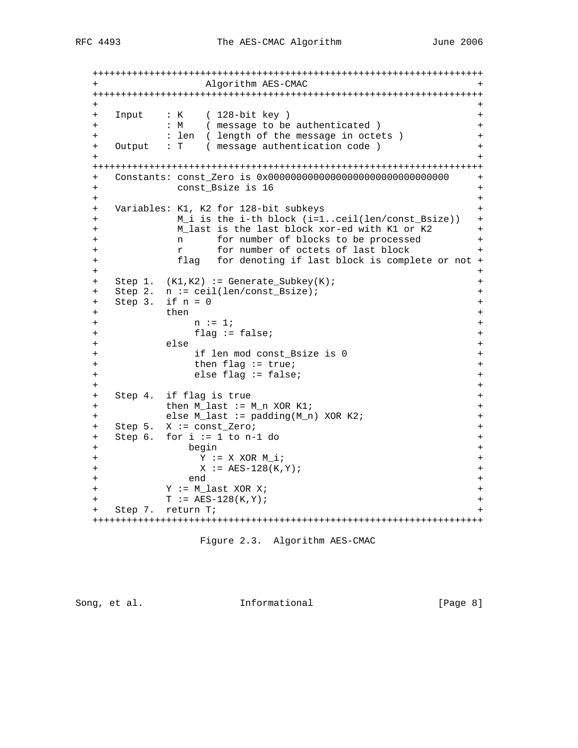+++++++++++++++++++++++++++++++++++++++++++++++++++++++++++++++++++++ + Algorithm AES-CMAC + +++++++++++++++++++++++++++++++++++++++++++++++++++++++++++++++++++++ + + + Input : K ( 128-bit key ) + + : M ( message to be authenticated ) + + : len ( length of the message in octets ) + + Output : T ( message authentication code ) + + + +++++++++++++++++++++++++++++++++++++++++++++++++++++++++++++++++++++ + Constants: const\_Zero is 0x00000000000000000000000000000000 + + const\_Bsize is 16 + + + + Variables: K1, K2 for 128-bit subkeys + + M\_i is the i-th block (i=1..ceil(len/const\_Bsize)) + + M\_last is the last block xor-ed with K1 or K2 + + n for number of blocks to be processed + + r for number of octets of last block + + flag for denoting if last block is complete or not + + + + Step 1. (K1,K2) := Generate\_Subkey(K); + + Step 2. n := ceil(len/const\_Bsize); + + Step 3. if  $n = 0$  + + then +  $+$  n := 1; + + flag := false; + + else + + if len mod const\_Bsize is 0 + + then flag := true; + + else flag := false; + + + + Step 4. if flag is true + + then M\_last := M\_n XOR K1; + + else M\_last := padding(M\_n) XOR K2; + + Step 5. X := const\_Zero; + + Step 6. for i := 1 to n-1 do + + begin + + Y := X XOR M\_i; + + X := AES-128(K,Y); + + end + + Y := M\_last XOR X; + + T := AES-128(K,Y); + + Step 7. return T; + +++++++++++++++++++++++++++++++++++++++++++++++++++++++++++++++++++++

Figure 2.3. Algorithm AES-CMAC

Song, et al. 10. Informational 1. [Page 8]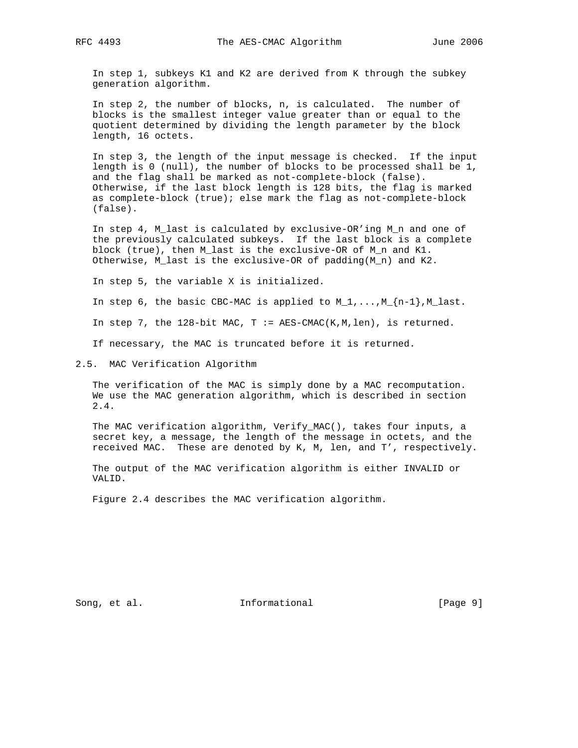In step 1, subkeys K1 and K2 are derived from K through the subkey generation algorithm.

 In step 2, the number of blocks, n, is calculated. The number of blocks is the smallest integer value greater than or equal to the quotient determined by dividing the length parameter by the block length, 16 octets.

 In step 3, the length of the input message is checked. If the input length is 0 (null), the number of blocks to be processed shall be 1, and the flag shall be marked as not-complete-block (false). Otherwise, if the last block length is 128 bits, the flag is marked as complete-block (true); else mark the flag as not-complete-block (false).

 In step 4, M\_last is calculated by exclusive-OR'ing M\_n and one of the previously calculated subkeys. If the last block is a complete block (true), then M\_last is the exclusive-OR of M\_n and K1. Otherwise, M\_last is the exclusive-OR of padding(M\_n) and K2.

In step 5, the variable X is initialized.

In step 6, the basic CBC-MAC is applied to  $M_1, \ldots, M_{n-1}$ ,  $M_1$  ast.

In step 7, the  $128$ -bit MAC, T := AES-CMAC(K, M, len), is returned.

If necessary, the MAC is truncated before it is returned.

2.5. MAC Verification Algorithm

 The verification of the MAC is simply done by a MAC recomputation. We use the MAC generation algorithm, which is described in section 2.4.

 The MAC verification algorithm, Verify\_MAC(), takes four inputs, a secret key, a message, the length of the message in octets, and the received MAC. These are denoted by K, M, len, and T', respectively.

 The output of the MAC verification algorithm is either INVALID or VALID.

Figure 2.4 describes the MAC verification algorithm.

Song, et al. 10. Informational 1. [Page 9]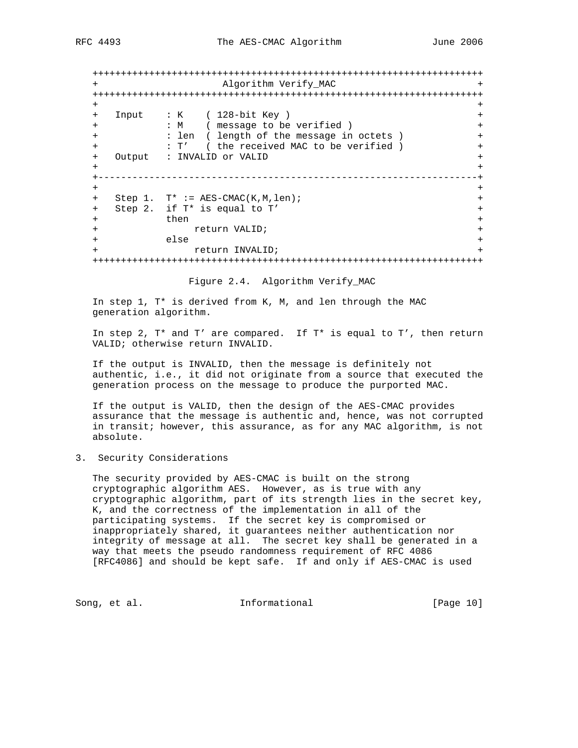+++++++++++++++++++++++++++++++++++++++++++++++++++++++++++++++++++++ + Algorithm Verify\_MAC + +++++++++++++++++++++++++++++++++++++++++++++++++++++++++++++++++++++ + + + Input : K ( 128-bit Key ) + + : M ( message to be verified ) + + : len ( length of the message in octets ) + + : T' ( the received MAC to be verified ) + + Output : INVALID or VALID + + +-------------------------------------------------------------------+ + + + Step 1. T\* := AES-CMAC(K,M,len); + + Step 2. if T\* is equal to T' + then + + return VALID; + + else + + return INVALID; + +++++++++++++++++++++++++++++++++++++++++++++++++++++++++++++++++++++

Figure 2.4. Algorithm Verify\_MAC

 In step 1, T\* is derived from K, M, and len through the MAC generation algorithm.

In step 2,  $T^*$  and  $T'$  are compared. If  $T^*$  is equal to  $T'$ , then return VALID; otherwise return INVALID.

 If the output is INVALID, then the message is definitely not authentic, i.e., it did not originate from a source that executed the generation process on the message to produce the purported MAC.

 If the output is VALID, then the design of the AES-CMAC provides assurance that the message is authentic and, hence, was not corrupted in transit; however, this assurance, as for any MAC algorithm, is not absolute.

3. Security Considerations

 The security provided by AES-CMAC is built on the strong cryptographic algorithm AES. However, as is true with any cryptographic algorithm, part of its strength lies in the secret key, K, and the correctness of the implementation in all of the participating systems. If the secret key is compromised or inappropriately shared, it guarantees neither authentication nor integrity of message at all. The secret key shall be generated in a way that meets the pseudo randomness requirement of RFC 4086 [RFC4086] and should be kept safe. If and only if AES-CMAC is used

Song, et al. The Informational Frage 10]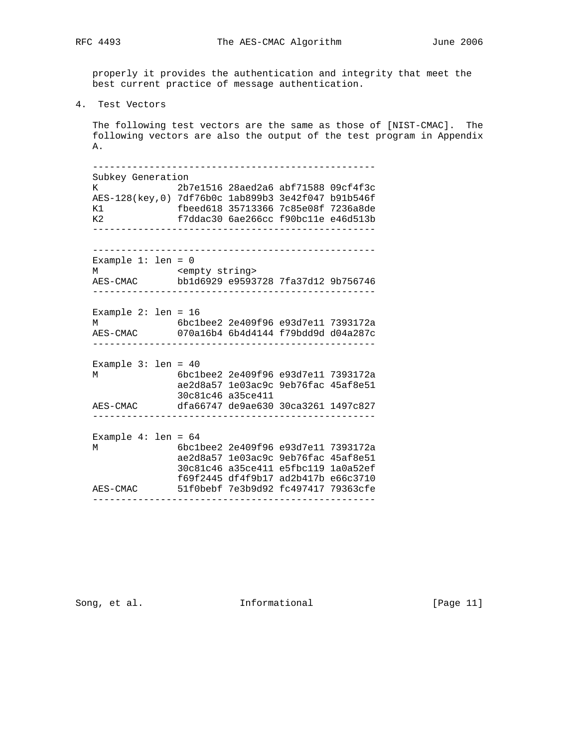properly it provides the authentication and integrity that meet the best current practice of message authentication.

4. Test Vectors

 The following test vectors are the same as those of [NIST-CMAC]. The following vectors are also the output of the test program in Appendix A.

 -------------------------------------------------- Subkey Generation K 2b7e1516 28aed2a6 abf71588 09cf4f3c AES-128(key,0) 7df76b0c 1ab899b3 3e42f047 b91b546f K1 fbeed618 35713366 7c85e08f 7236a8de K2 f7ddac30 6ae266cc f90bc11e e46d513b -------------------------------------------------- -------------------------------------------------- Example 1: len = 0 M <empty string> AES-CMAC bb1d6929 e9593728 7fa37d12 9b756746 -------------------------------------------------- Example 2: len = 16 M 6bc1bee2 2e409f96 e93d7e11 7393172a AES-CMAC 070a16b4 6b4d4144 f79bdd9d d04a287c -------------------------------------------------- Example 3: len = 40 M 6bc1bee2 2e409f96 e93d7e11 7393172a ae2d8a57 1e03ac9c 9eb76fac 45af8e51 30c81c46 a35ce411 AES-CMAC dfa66747 de9ae630 30ca3261 1497c827 -------------------------------------------------- Example 4: len = 64 M 6bc1bee2 2e409f96 e93d7e11 7393172a ae2d8a57 1e03ac9c 9eb76fac 45af8e51 30c81c46 a35ce411 e5fbc119 1a0a52ef f69f2445 df4f9b17 ad2b417b e66c3710 AES-CMAC 51f0bebf 7e3b9d92 fc497417 79363cfe --------------------------------------------------

Song, et al. The Informational The Informational [Page 11]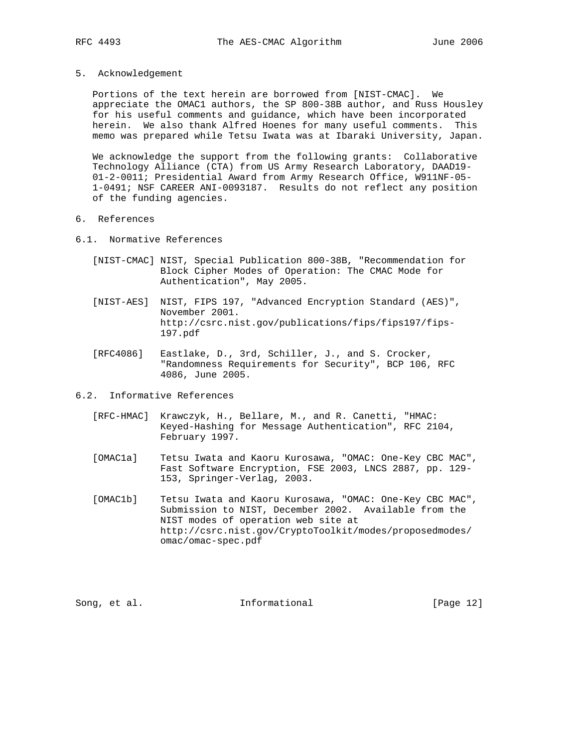5. Acknowledgement

 Portions of the text herein are borrowed from [NIST-CMAC]. We appreciate the OMAC1 authors, the SP 800-38B author, and Russ Housley for his useful comments and guidance, which have been incorporated herein. We also thank Alfred Hoenes for many useful comments. This memo was prepared while Tetsu Iwata was at Ibaraki University, Japan.

 We acknowledge the support from the following grants: Collaborative Technology Alliance (CTA) from US Army Research Laboratory, DAAD19- 01-2-0011; Presidential Award from Army Research Office, W911NF-05- 1-0491; NSF CAREER ANI-0093187. Results do not reflect any position of the funding agencies.

- 6. References
- 6.1. Normative References
	- [NIST-CMAC] NIST, Special Publication 800-38B, "Recommendation for Block Cipher Modes of Operation: The CMAC Mode for Authentication", May 2005.
	- [NIST-AES] NIST, FIPS 197, "Advanced Encryption Standard (AES)", November 2001. http://csrc.nist.gov/publications/fips/fips197/fips- 197.pdf
	- [RFC4086] Eastlake, D., 3rd, Schiller, J., and S. Crocker, "Randomness Requirements for Security", BCP 106, RFC 4086, June 2005.
- 6.2. Informative References
	- [RFC-HMAC] Krawczyk, H., Bellare, M., and R. Canetti, "HMAC: Keyed-Hashing for Message Authentication", RFC 2104, February 1997.
	- [OMAC1a] Tetsu Iwata and Kaoru Kurosawa, "OMAC: One-Key CBC MAC", Fast Software Encryption, FSE 2003, LNCS 2887, pp. 129- 153, Springer-Verlag, 2003.
	- [OMAC1b] Tetsu Iwata and Kaoru Kurosawa, "OMAC: One-Key CBC MAC", Submission to NIST, December 2002. Available from the NIST modes of operation web site at http://csrc.nist.gov/CryptoToolkit/modes/proposedmodes/ omac/omac-spec.pdf

Song, et al. **Informational** [Page 12]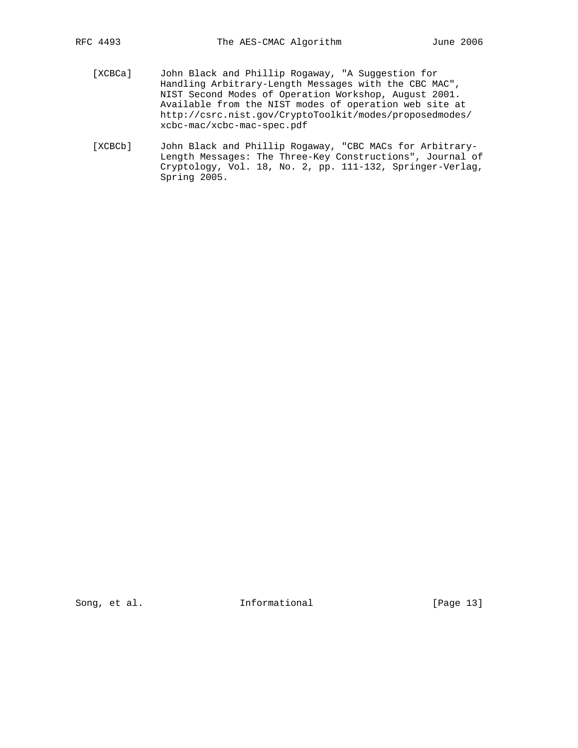- [XCBCa] John Black and Phillip Rogaway, "A Suggestion for Handling Arbitrary-Length Messages with the CBC MAC", NIST Second Modes of Operation Workshop, August 2001. Available from the NIST modes of operation web site at http://csrc.nist.gov/CryptoToolkit/modes/proposedmodes/ xcbc-mac/xcbc-mac-spec.pdf
- [XCBCb] John Black and Phillip Rogaway, "CBC MACs for Arbitrary- Length Messages: The Three-Key Constructions", Journal of Cryptology, Vol. 18, No. 2, pp. 111-132, Springer-Verlag, Spring 2005.

Song, et al. 10. Informational [Page 13]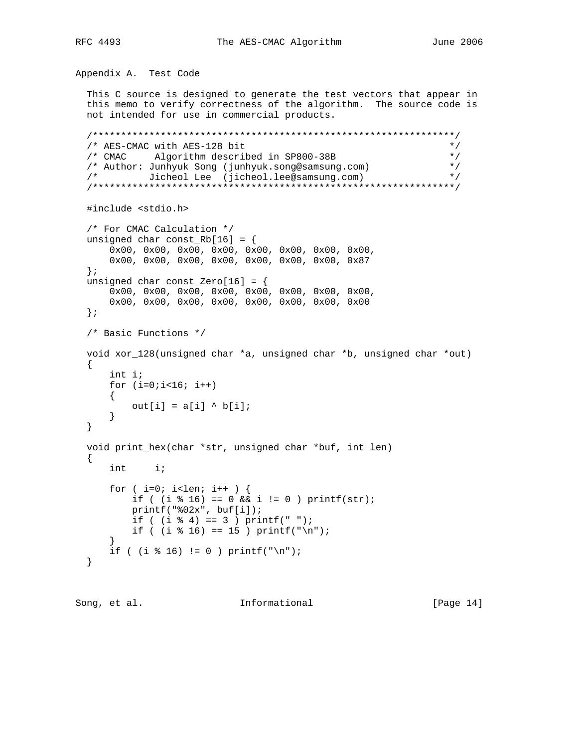Appendix A. Test Code This C source is designed to generate the test vectors that appear in this memo to verify correctness of the algorithm. The source code is not intended for use in commercial products. /\*\*\*\*\*\*\*\*\*\*\*\*\*\*\*\*\*\*\*\*\*\*\*\*\*\*\*\*\*\*\*\*\*\*\*\*\*\*\*\*\*\*\*\*\*\*\*\*\*\*\*\*\*\*\*\*\*\*\*\*\*\*\*\*/ /\* AES-CMAC with AES-128 bit \*/ /\* CMAC Algorithm described in SP800-38B \*/<br>/\* Author: Junhyuk Song (junhyuk.song@samsung.com) \*/ /\* Author: Junhyuk Song (junhyuk.song@samsung.com) \*/ /\* Jicheol Lee (jicheol.lee@samsung.com) \*/ /\*\*\*\*\*\*\*\*\*\*\*\*\*\*\*\*\*\*\*\*\*\*\*\*\*\*\*\*\*\*\*\*\*\*\*\*\*\*\*\*\*\*\*\*\*\*\*\*\*\*\*\*\*\*\*\*\*\*\*\*\*\*\*\*/ #include <stdio.h> /\* For CMAC Calculation \*/ unsigned char const\_Rb[16] =  $\{$  0x00, 0x00, 0x00, 0x00, 0x00, 0x00, 0x00, 0x00, 0x00, 0x00, 0x00, 0x00, 0x00, 0x00, 0x00, 0x87 }; unsigned char const\_Zero[16] = { 0x00, 0x00, 0x00, 0x00, 0x00, 0x00, 0x00, 0x00, 0x00, 0x00, 0x00, 0x00, 0x00, 0x00, 0x00, 0x00 }; /\* Basic Functions \*/ void xor\_128(unsigned char \*a, unsigned char \*b, unsigned char \*out)  $\{$  int i; for  $(i=0,i<16; i++)$  $\left\{ \right.$ out[i] =  $a[i] \wedge b[i];$  } } void print hex(char \*str, unsigned char \*buf, int len) { int i; for (  $i=0$ ;  $i$ <len;  $i++$  ) { if (  $(i \; 8 \; 16) = 0 \; \&\; i := 0$  ) printf(str); printf("%02x", buf[i]); if (  $(i \; 8 \; 4) == 3$  ) printf(" "); if (  $(i \; 8 \; 16) == 15$  ) printf("\n"); } if (  $(i \; * \; 16)$  != 0 ) printf("\n"); }

Song, et al. **Informational** [Page 14]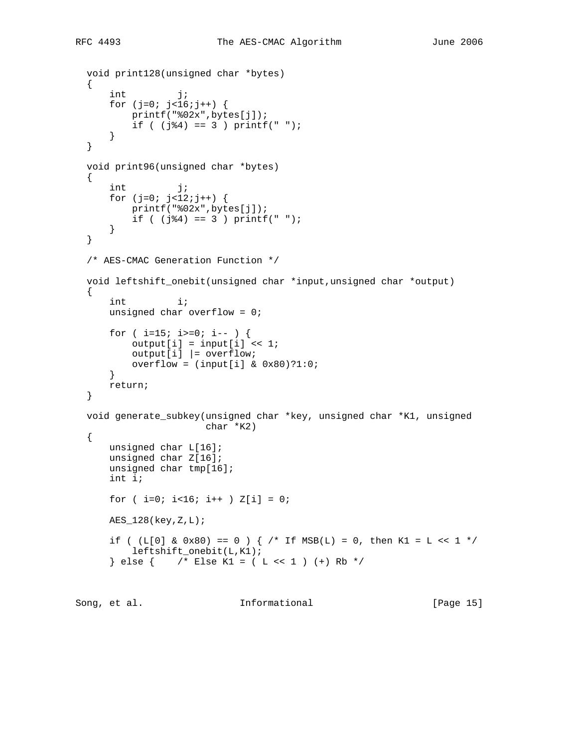```
 void print128(unsigned char *bytes)
 {
    int j;
   for (j=0; j<16; j++) {
        printf("%02x",bytes[j]);
        if ( (j(34) == 3) printf(" ");
     }
 }
 void print96(unsigned char *bytes)
 {
   int j;
   for (j=0; j<12; j++) {
       printf("%02x",bytes[j]);
       if ( (j(3) == 3 ) printf(" ");
     }
 }
 /* AES-CMAC Generation Function */
 void leftshift_onebit(unsigned char *input,unsigned char *output)
 {
     int i;
    unsigned char overflow = 0;
     for ( i=15; i>=0; i-- ) {
        output[i] = input[i] << 1;output[i] = overflow;
       overflow = (input[i] & 0x80)?1:0;
     }
    return;
 }
 void generate_subkey(unsigned char *key, unsigned char *K1, unsigned
                      char *K2)
 {
    unsigned char L[16];
    unsigned char Z[16];
     unsigned char tmp[16];
     int i;
   for ( i=0; i<16; i++ ) Z[i] = 0;
   AES_128(key,Z,L);if ( (L[0] \& 0x80) == 0 ) \{ /* If MSB(L) == 0, then K1 = L << 1 */
         leftshift_onebit(L,K1);
    \{\text{else } \{\text{ }/\text{*} \text{ Else K1 = ( L << 1 ) (+) Rb *}/\}
```
Song, et al. **Informational** [Page 15]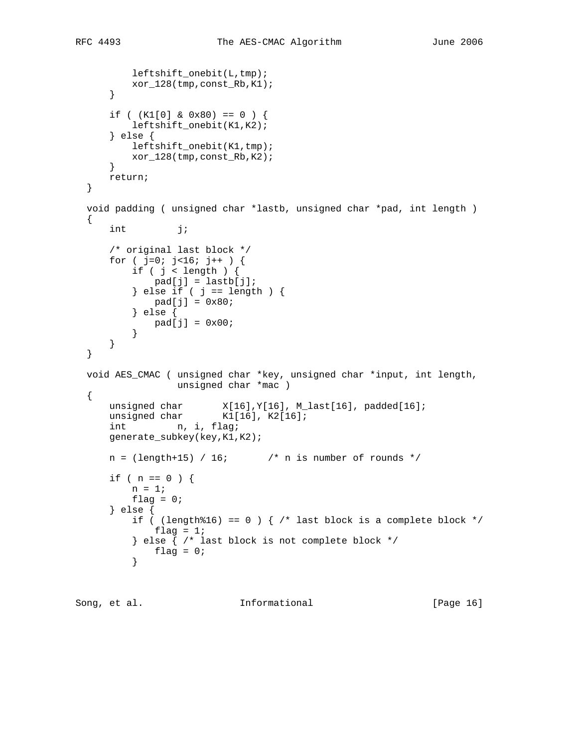```
 leftshift_onebit(L,tmp);
          xor_128(tmp,const_Rb,K1);
       }
      if ( (K1[0] \& 0x80) == 0 ) {
           leftshift_onebit(K1,K2);
       } else {
          leftshift_onebit(K1,tmp);
          xor_128(tmp,const_Rb,K2);
       }
      return;
  }
  void padding ( unsigned char *lastb, unsigned char *pad, int length )
  {
     int j;
       /* original last block */
      for ( j=0; j<16; j++ ) {
          if ( j < length ) {
             pad[j] = lastb[j];} else if ( j == length ) {
             pad[j] = 0x80; } else {
          pad[j] = 0x00; }
       }
  }
  void AES_CMAC ( unsigned char *key, unsigned char *input, int length,
                 unsigned char *mac )
  {
 unsigned char X[16],Y[16], M_last[16], padded[16];
unsigned char K1[16], K2[16];
     int n, i, flag;
      generate_subkey(key,K1,K2);
     n = (length+15) / 16; \qquad \qquad /* n is number of rounds */
      if ( n == 0 ) {
         n = 1;flag = 0; } else {
          if ( (length%16) == 0 ) { /* last block is a complete block */
              flag = 1;
           } else { /* last block is not complete block */
          \begin{aligned} \texttt{flag} &= 0 \, \texttt{;} \\ \end{aligned} }
```
Song, et al. **Informational** [Page 16]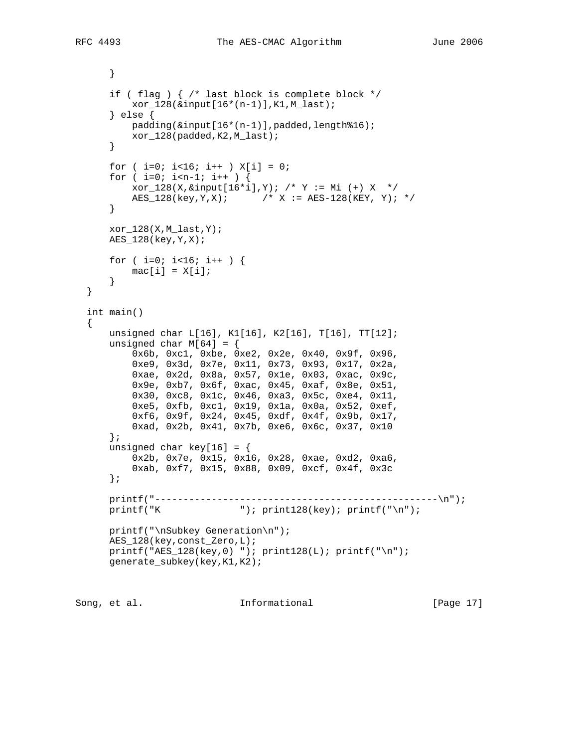```
 }
     if ( flag ) { /* last block is complete block */
        xor_128(&input[16*(n-1)],K1,M_last);
     } else {
        padding(&input[16*(n-1)],padded,length%16);
        xor_128(padded,K2,M_last);
     }
    for ( i=0; i<16; i++ ) X[i] = 0;
    for ( i=0; i=n-1; i++ ) {
        xor_128(X,&input[16*i],Y); /* Y := Mi (+) X */
       AES_128(key, Y, X); / / X := AES-128(KEY, Y); */
     }
   xor 128(X,M last, Y);
    AES_128(key,Y,X);
   for ( i=0; i<16; i++ ) {
     mac[i] = X[i]; }
 }
 int main()
 {
    unsigned char L[16], K1[16], K2[16], T[16], TT[12];
   unsigned char M[64] = \{ 0x6b, 0xc1, 0xbe, 0xe2, 0x2e, 0x40, 0x9f, 0x96,
         0xe9, 0x3d, 0x7e, 0x11, 0x73, 0x93, 0x17, 0x2a,
         0xae, 0x2d, 0x8a, 0x57, 0x1e, 0x03, 0xac, 0x9c,
         0x9e, 0xb7, 0x6f, 0xac, 0x45, 0xaf, 0x8e, 0x51,
         0x30, 0xc8, 0x1c, 0x46, 0xa3, 0x5c, 0xe4, 0x11,
         0xe5, 0xfb, 0xc1, 0x19, 0x1a, 0x0a, 0x52, 0xef,
         0xf6, 0x9f, 0x24, 0x45, 0xdf, 0x4f, 0x9b, 0x17,
         0xad, 0x2b, 0x41, 0x7b, 0xe6, 0x6c, 0x37, 0x10
     };
   unsigned char key[16] = { 0x2b, 0x7e, 0x15, 0x16, 0x28, 0xae, 0xd2, 0xa6,
         0xab, 0xf7, 0x15, 0x88, 0x09, 0xcf, 0x4f, 0x3c
     };
    printf("--------------------------------------------------\n");
   printf("K \qquad"); print128(key); printf("\n");
    printf("\nSubkey Generation\n");
    AES_128(key,const_Zero,L);
   printf("AES_128(key,0) "); print128(L); printf("\n");
    generate_subkey(key,K1,K2);
```
Song, et al. **Informational** [Page 17]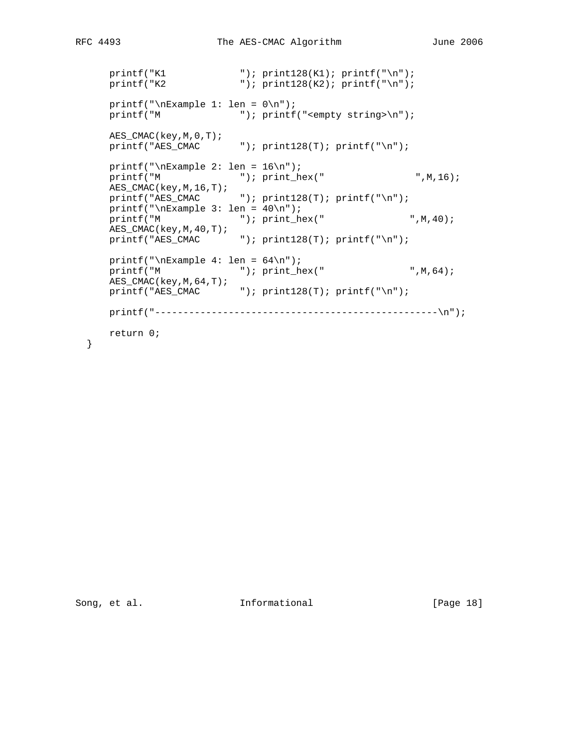```
\begin{tabular}{ll} \bf{printf("K1 & \color{red}{ \color{red} "}): print128(K1); print(''\n"); \\ \bf{printf("K2 & \color{red}{ \color{red} "}): print128(K2); print(''\n"); \end{tabular}"); print128(K2); printf("n");
     printf("\nExample 1: len = 0\n");
     printf("M \qquad"); printf("<empty string>\n");
      AES_CMAC(key,M,0,T);
     printf("AES_CMAC" "); print128(T); printf("n");printf("\nExample 2: len = 16\n");
     printf("M "); print_hex(" ",M,16);
 AES_CMAC(key,M,16,T);
printf("AES_CMAC "); print128(T); printf("\n");
     printf("\nExample 3: len = 40\n");
     printf("M '"); print_hex(" ",M,40);
 AES_CMAC(key,M,40,T);
printf("AES_CMAC "); print128(T); printf("\n");
     printf("\nExample 4: len = 64\n");
     printf("M "); print_hex(" ",M,64);
      AES_CMAC(key,M,64,T);
     printf("\texttt{AES\_CMAC} "); print128(T); printf("\n");
      printf("--------------------------------------------------\n");
      return 0;
```
}

Song, et al. 10. Informational [Page 18]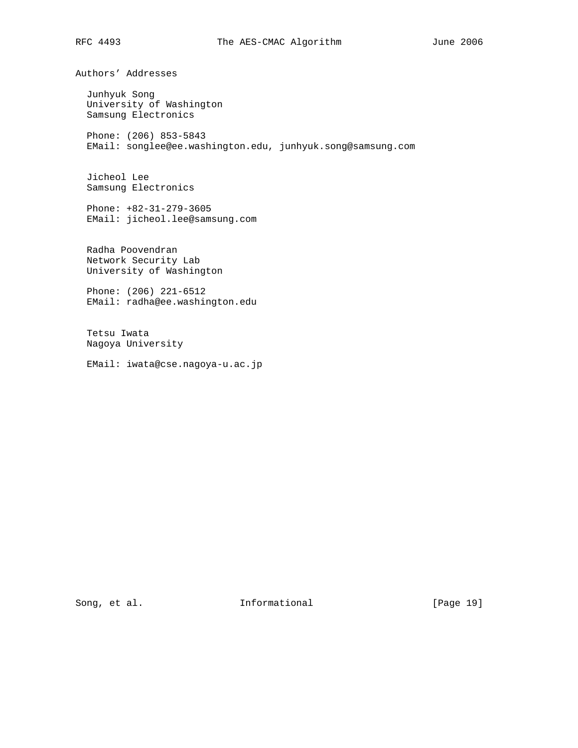Authors' Addresses

 Junhyuk Song University of Washington Samsung Electronics

 Phone: (206) 853-5843 EMail: songlee@ee.washington.edu, junhyuk.song@samsung.com

 Jicheol Lee Samsung Electronics

 Phone: +82-31-279-3605 EMail: jicheol.lee@samsung.com

 Radha Poovendran Network Security Lab University of Washington

 Phone: (206) 221-6512 EMail: radha@ee.washington.edu

 Tetsu Iwata Nagoya University

EMail: iwata@cse.nagoya-u.ac.jp

Song, et al. 10. Informational [Page 19]